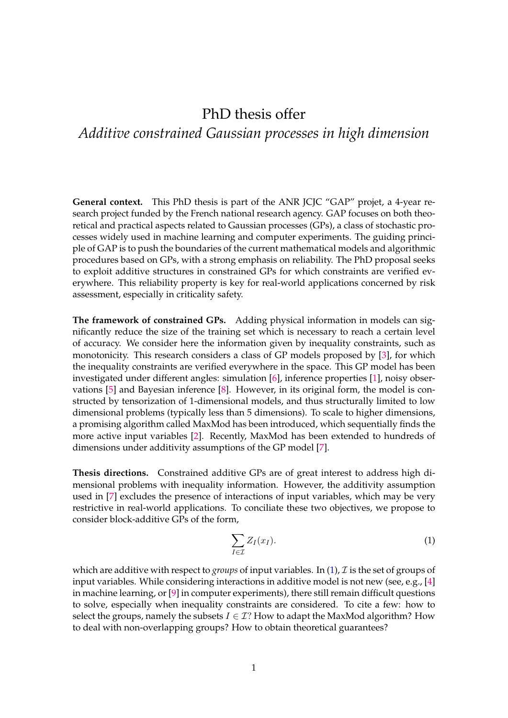## PhD thesis offer *Additive constrained Gaussian processes in high dimension*

**General context.** This PhD thesis is part of the ANR JCJC "GAP" projet, a 4-year research project funded by the French national research agency. GAP focuses on both theoretical and practical aspects related to Gaussian processes (GPs), a class of stochastic processes widely used in machine learning and computer experiments. The guiding principle of GAP is to push the boundaries of the current mathematical models and algorithmic procedures based on GPs, with a strong emphasis on reliability. The PhD proposal seeks to exploit additive structures in constrained GPs for which constraints are verified everywhere. This reliability property is key for real-world applications concerned by risk assessment, especially in criticality safety.

**The framework of constrained GPs.** Adding physical information in models can significantly reduce the size of the training set which is necessary to reach a certain level of accuracy. We consider here the information given by inequality constraints, such as monotonicity. This research considers a class of GP models proposed by [\[3\]](#page-1-0), for which the inequality constraints are verified everywhere in the space. This GP model has been investigated under different angles: simulation [\[6\]](#page-1-1), inference properties [\[1\]](#page-1-2), noisy observations [\[5\]](#page-1-3) and Bayesian inference [\[8\]](#page-1-4). However, in its original form, the model is constructed by tensorization of 1-dimensional models, and thus structurally limited to low dimensional problems (typically less than 5 dimensions). To scale to higher dimensions, a promising algorithm called MaxMod has been introduced, which sequentially finds the more active input variables [\[2\]](#page-1-5). Recently, MaxMod has been extended to hundreds of dimensions under additivity assumptions of the GP model [\[7\]](#page-1-6).

**Thesis directions.** Constrained additive GPs are of great interest to address high dimensional problems with inequality information. However, the additivity assumption used in [\[7\]](#page-1-6) excludes the presence of interactions of input variables, which may be very restrictive in real-world applications. To conciliate these two objectives, we propose to consider block-additive GPs of the form,

<span id="page-0-0"></span>
$$
\sum_{I \in \mathcal{I}} Z_I(x_I). \tag{1}
$$

which are additive with respect to *groups* of input variables. In [\(1\)](#page-0-0), *I* is the set of groups of input variables. While considering interactions in additive model is not new (see, e.g., [\[4\]](#page-1-7) in machine learning, or [\[9\]](#page-1-8) in computer experiments), there still remain difficult questions to solve, especially when inequality constraints are considered. To cite a few: how to select the groups, namely the subsets  $I \in \mathcal{I}$ ? How to adapt the MaxMod algorithm? How to deal with non-overlapping groups? How to obtain theoretical guarantees?